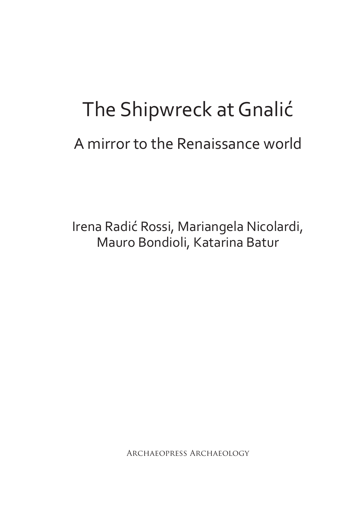# The Shipwreck at Gnalić A mirror to the Renaissance world

Irena Radić Rossi, Mariangela Nicolardi, Mauro Bondioli, Katarina Batur

Archaeopress Archaeology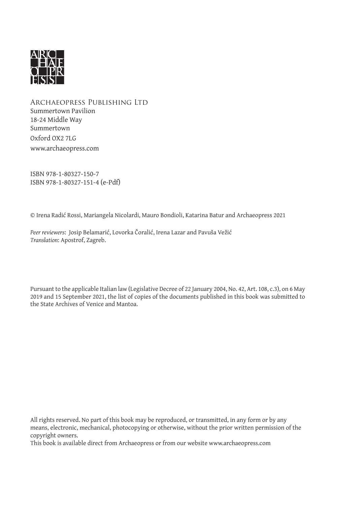

Archaeopress Publishing Ltd Summertown Pavilion 18-24 Middle Way Summertown Oxford OX2 7LG www.archaeopress.com

ISBN 978-1-80327-150-7 ISBN 978-1-80327-151-4 (e-Pdf)

© Irena Radić Rossi, Mariangela Nicolardi, Mauro Bondioli, Katarina Batur and Archaeopress 2021

*Peer reviewers*: Josip Belamarić, Lovorka Čoralić, Irena Lazar and Pavuša Vežić *Translation*: Apostrof, Zagreb.

Pursuant to the applicable Italian law (Legislative Decree of 22 January 2004, No. 42, Art. 108, c.3), on 6 May 2019 and 15 September 2021, the list of copies of the documents published in this book was submitted to the State Archives of Venice and Mantoa.

All rights reserved. No part of this book may be reproduced, or transmitted, in any form or by any means, electronic, mechanical, photocopying or otherwise, without the prior written permission of the copyright owners.

This book is available direct from Archaeopress or from our website www.archaeopress.com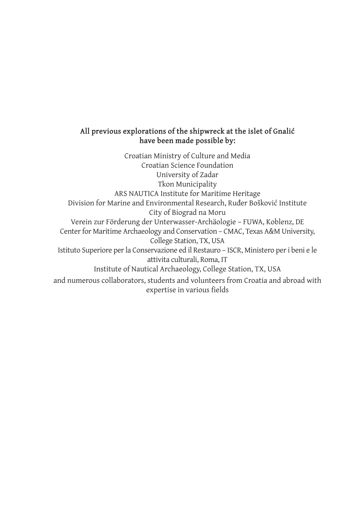### **All previous explorations of the shipwreck at the islet of Gnalić have been made possible by:**

Croatian Ministry of Culture and Media Croatian Science Foundation University of Zadar Tkon Municipality ARS NAUTICA Institute for Maritime Heritage Division for Marine and Environmental Research, Ruđer Bošković Institute City of Biograd na Moru Verein zur Förderung der Unterwasser-Archäologie – FUWA, Koblenz, DE Center for Maritime Archaeology and Conservation – CMAC, Texas A&M University, College Station, TX, USA Istituto Superiore per la Conservazione ed il Restauro – ISCR, Ministero per i beni e le attivita culturali, Roma, IT Institute of Nautical Archaeology, College Station, TX, USA and numerous collaborators, students and volunteers from Croatia and abroad with expertise in various fields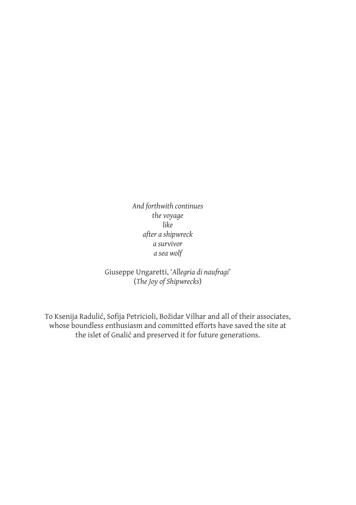*And forthwith continues the voyage like after a shipwreck a survivor a sea wolf*

Giuseppe Ungaretti, '*Allegria di naufragi*' (*The Joy of Shipwrecks*)

To Ksenija Radulić, Sofija Petricioli, Božidar Vilhar and all of their associates, whose boundless enthusiasm and committed efforts have saved the site at the islet of Gnalić and preserved it for future generations.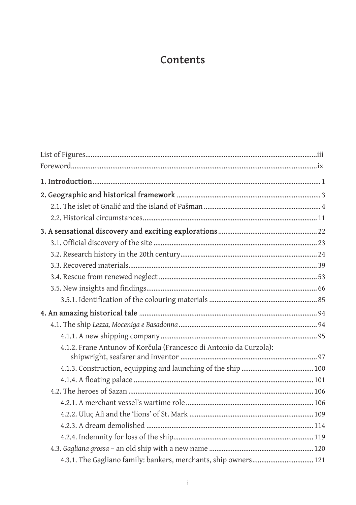### Contents

| 4.1.2. Frane Antunov of Korčula (Francesco di Antonio da Curzola): |
|--------------------------------------------------------------------|
|                                                                    |
|                                                                    |
|                                                                    |
|                                                                    |
|                                                                    |
|                                                                    |
|                                                                    |
|                                                                    |
|                                                                    |
| 4.3.1. The Gagliano family: bankers, merchants, ship owners 121    |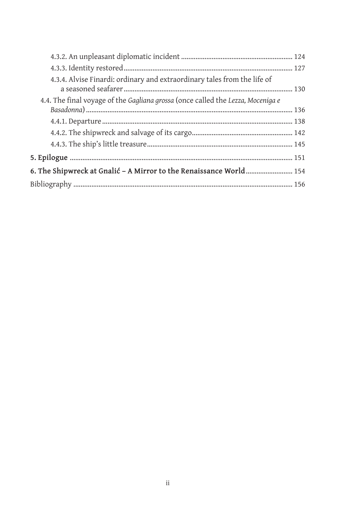| 4.3.4. Alvise Finardi: ordinary and extraordinary tales from the life of        |  |
|---------------------------------------------------------------------------------|--|
| 4.4. The final voyage of the Gagliana grossa (once called the Lezza, Moceniga e |  |
|                                                                                 |  |
|                                                                                 |  |
|                                                                                 |  |
|                                                                                 |  |
| 6. The Shipwreck at Gnalić - A Mirror to the Renaissance World 154              |  |
|                                                                                 |  |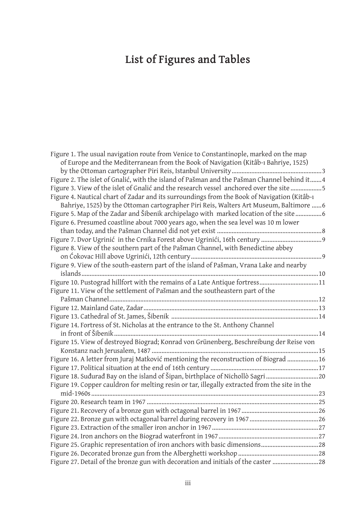# **List of Figures and Tables**

| Figure 1. The usual navigation route from Venice to Constantinople, marked on the map         |  |
|-----------------------------------------------------------------------------------------------|--|
| of Europe and the Mediterranean from the Book of Navigation (Kitâb-ı Bahriye, 1525)           |  |
|                                                                                               |  |
| Figure 2. The islet of Gnalić, with the island of Pašman and the Pašman Channel behind it4    |  |
| Figure 3. View of the islet of Gnalić and the research vessel anchored over the site 5        |  |
| Figure 4. Nautical chart of Zadar and its surroundings from the Book of Navigation (Kitâb-1   |  |
| Bahriye, 1525) by the Ottoman cartographer Piri Reis, Walters Art Museum, Baltimore 6         |  |
| Figure 5. Map of the Zadar and Šibenik archipelago with marked location of the site           |  |
| Figure 6. Presumed coastline about 7000 years ago, when the sea level was 10 m lower          |  |
|                                                                                               |  |
|                                                                                               |  |
| Figure 8. View of the southern part of the Pašman Channel, with Benedictine abbey             |  |
|                                                                                               |  |
| Figure 9. View of the south-eastern part of the island of Pašman, Vrana Lake and nearby       |  |
|                                                                                               |  |
| Figure 10. Pustograd hillfort with the remains of a Late Antique fortress11                   |  |
| Figure 11. View of the settlement of Pašman and the southeastern part of the                  |  |
|                                                                                               |  |
|                                                                                               |  |
|                                                                                               |  |
| Figure 14. Fortress of St. Nicholas at the entrance to the St. Anthony Channel                |  |
|                                                                                               |  |
| Figure 15. View of destroyed Biograd; Konrad von Grünenberg, Beschreibung der Reise von       |  |
|                                                                                               |  |
| Figure 16. A letter from Juraj Matković mentioning the reconstruction of Biograd 16           |  |
|                                                                                               |  |
| Figure 18. Sudurad Bay on the island of Šipan, birthplace of Nichollò Sagri                   |  |
| Figure 19. Copper cauldron for melting resin or tar, illegally extracted from the site in the |  |
|                                                                                               |  |
|                                                                                               |  |
|                                                                                               |  |
|                                                                                               |  |
|                                                                                               |  |
|                                                                                               |  |
|                                                                                               |  |
|                                                                                               |  |
| Figure 27. Detail of the bronze gun with decoration and initials of the caster 28             |  |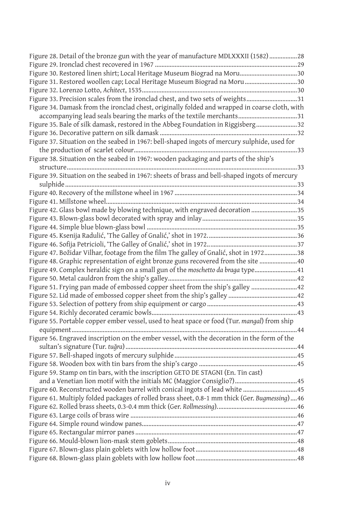| Figure 28. Detail of the bronze gun with the year of manufacture MDLXXXII (1582) 28            |  |
|------------------------------------------------------------------------------------------------|--|
|                                                                                                |  |
| Figure 30. Restored linen shirt; Local Heritage Museum Biograd na Moru30                       |  |
| Figure 31. Restored woollen cap; Local Heritage Museum Biograd na Moru 30                      |  |
|                                                                                                |  |
| Figure 33. Precision scales from the ironclad chest, and two sets of weights31                 |  |
| Figure 34. Damask from the ironclad chest, originally folded and wrapped in coarse cloth, with |  |
| accompanying lead seals bearing the marks of the textile merchants31                           |  |
| Figure 35. Bale of silk damask, restored in the Abbeg Foundation in Riggisberg32               |  |
|                                                                                                |  |
| Figure 37. Situation on the seabed in 1967: bell-shaped ingots of mercury sulphide, used for   |  |
|                                                                                                |  |
| Figure 38. Situation on the seabed in 1967: wooden packaging and parts of the ship's           |  |
| 33                                                                                             |  |
| Figure 39. Situation on the seabed in 1967: sheets of brass and bell-shaped ingots of mercury  |  |
|                                                                                                |  |
|                                                                                                |  |
|                                                                                                |  |
| Figure 42. Glass bowl made by blowing technique, with engraved decoration 35                   |  |
|                                                                                                |  |
|                                                                                                |  |
|                                                                                                |  |
|                                                                                                |  |
| Figure 47. Božidar Vilhar, footage from the film The galley of Gnalić, shot in 197238          |  |
| Figure 48. Graphic representation of eight bronze guns recovered from the site  40             |  |
| Figure 49. Complex heraldic sign on a small gun of the moschetto da braga type 41              |  |
|                                                                                                |  |
| Figure 51. Frying pan made of embossed copper sheet from the ship's galley  42                 |  |
|                                                                                                |  |
|                                                                                                |  |
|                                                                                                |  |
| Figure 55. Portable copper ember vessel, used to heat space or food (Tur. mangal) from ship    |  |
|                                                                                                |  |
| Figure 56. Engraved inscription on the ember vessel, with the decoration in the form of the    |  |
|                                                                                                |  |
|                                                                                                |  |
|                                                                                                |  |
| Figure 59. Stamp on tin bars, with the inscription GETO DE STAGNI (En. Tin cast)               |  |
|                                                                                                |  |
| Figure 60. Reconstructed wooden barrel with conical ingots of lead white  45                   |  |
| Figure 61. Multiply folded packages of rolled brass sheet, 0.8-1 mm thick (Ger. Bugmessing) 46 |  |
|                                                                                                |  |
|                                                                                                |  |
|                                                                                                |  |
|                                                                                                |  |
|                                                                                                |  |
|                                                                                                |  |
|                                                                                                |  |
|                                                                                                |  |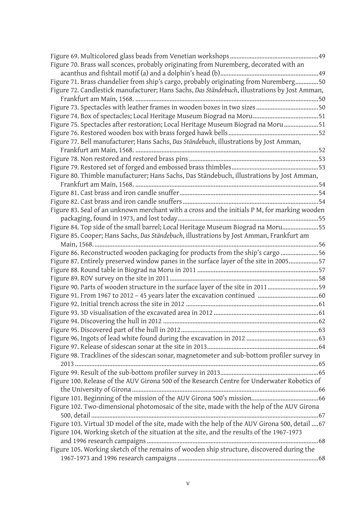| Figure 70. Brass wall sconces, probably originating from Nuremberg, decorated with an          |  |
|------------------------------------------------------------------------------------------------|--|
|                                                                                                |  |
| Figure 71. Brass chandelier from ship's cargo, probably originating from Nuremberg50           |  |
| Figure 72. Candlestick manufacturer; Hans Sachs, Das Ständebuch, illustrations by Jost Amman,  |  |
|                                                                                                |  |
| Figure 73. Spectacles with leather frames in wooden boxes in two sizes 50                      |  |
|                                                                                                |  |
| Figure 75. Spectacles after restoration; Local Heritage Museum Biograd na Moru51               |  |
|                                                                                                |  |
| Figure 77. Bell manufacturer; Hans Sachs, Das Ständebuch, illustrations by Jost Amman,         |  |
|                                                                                                |  |
|                                                                                                |  |
|                                                                                                |  |
|                                                                                                |  |
| Figure 80. Thimble manufacturer; Hans Sachs, Das Ständebuch, illustrations by Jost Amman,      |  |
|                                                                                                |  |
|                                                                                                |  |
|                                                                                                |  |
| Figure 83. Seal of an unknown merchant with a cross and the initials P M, for marking wooden   |  |
|                                                                                                |  |
| Figure 84. Top side of the small barrel; Local Heritage Museum Biograd na Moru55               |  |
| Figure 85. Cooper; Hans Sachs, Das Ständebuch, illustrations by Jost Amman, Frankfurt am       |  |
|                                                                                                |  |
| Figure 86. Reconstructed wooden packaging for products from the ship's cargo 56                |  |
| Figure 87. Entirely preserved window panes in the surface layer of the site in 200557          |  |
|                                                                                                |  |
|                                                                                                |  |
| Figure 90. Parts of wooden structure in the surface layer of the site in 201159                |  |
|                                                                                                |  |
|                                                                                                |  |
|                                                                                                |  |
|                                                                                                |  |
|                                                                                                |  |
|                                                                                                |  |
|                                                                                                |  |
| Figure 98. Tracklines of the sidescan sonar, magnetometer and sub-bottom profiler survey in    |  |
|                                                                                                |  |
|                                                                                                |  |
| Figure 100. Release of the AUV Girona 500 of the Research Centre for Underwater Robotics of    |  |
|                                                                                                |  |
|                                                                                                |  |
| Figure 102. Two-dimensional photomosaic of the site, made with the help of the AUV Girona      |  |
|                                                                                                |  |
| Figure 103. Virtual 3D model of the site, made with the help of the AUV Girona 500, detail  67 |  |
| Figure 104. Working sketch of the situation at the site, and the results of the 1967-1973      |  |
|                                                                                                |  |
| Figure 105. Working sketch of the remains of wooden ship structure, discovered during the      |  |
|                                                                                                |  |
|                                                                                                |  |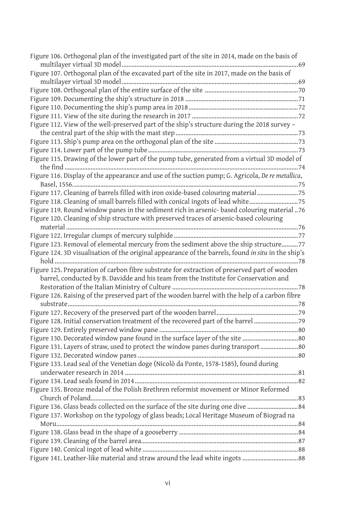| Figure 106. Orthogonal plan of the investigated part of the site in 2014, made on the basis of      |
|-----------------------------------------------------------------------------------------------------|
|                                                                                                     |
| Figure 107. Orthogonal plan of the excavated part of the site in 2017, made on the basis of         |
|                                                                                                     |
|                                                                                                     |
|                                                                                                     |
|                                                                                                     |
|                                                                                                     |
| Figure 112. View of the well-preserved part of the ship's structure during the 2018 survey -        |
|                                                                                                     |
|                                                                                                     |
|                                                                                                     |
| Figure 115. Drawing of the lower part of the pump tube, generated from a virtual 3D model of        |
|                                                                                                     |
| Figure 116. Display of the appearance and use of the suction pump; G. Agricola, De re metallica,    |
|                                                                                                     |
| Figure 117. Cleaning of barrels filled with iron oxide-based colouring material75                   |
| Figure 118. Cleaning of small barrels filled with conical ingots of lead white75                    |
| Figure 119. Round window panes in the sediment rich in arsenic- based colouring material 76         |
| Figure 120. Cleaning of ship structure with preserved traces of arsenic-based colouring             |
|                                                                                                     |
|                                                                                                     |
| Figure 123. Removal of elemental mercury from the sediment above the ship structure77               |
| Figure 124. 3D visualisation of the original appearance of the barrels, found in situ in the ship's |
|                                                                                                     |
| Figure 125. Preparation of carbon fibre substrate for extraction of preserved part of wooden        |
| barrel, conducted by B. Davidde and his team from the Institute for Conservation and                |
|                                                                                                     |
| Figure 126. Raising of the preserved part of the wooden barrel with the help of a carbon fibre      |
|                                                                                                     |
|                                                                                                     |
| Figure 128. Initial conservation treatment of the recovered part of the barrel                      |
|                                                                                                     |
| Figure 130. Decorated window pane found in the surface layer of the site  80                        |
| Figure 131. Layers of straw, used to protect the window panes during transport 80                   |
|                                                                                                     |
| Figure 133. Lead seal of the Venetian doge (Nicolò da Ponte, 1578-1585), found during               |
|                                                                                                     |
|                                                                                                     |
| Figure 135. Bronze medal of the Polish Brethren reformist movement or Minor Reformed                |
|                                                                                                     |
| Figure 136. Glass beads collected on the surface of the site during one dive 84                     |
| Figure 137. Workshop on the typology of glass beads; Local Heritage Museum of Biograd na            |
|                                                                                                     |
|                                                                                                     |
|                                                                                                     |
|                                                                                                     |
|                                                                                                     |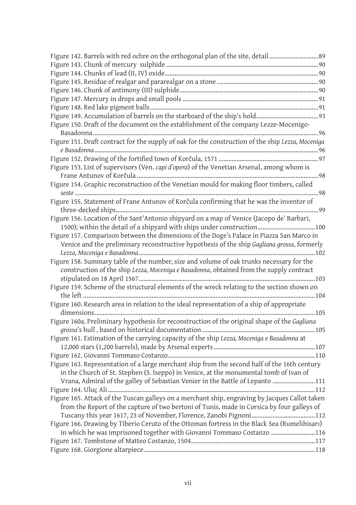| Figure 142. Barrels with red ochre on the orthogonal plan of the site, detail  89                 |
|---------------------------------------------------------------------------------------------------|
|                                                                                                   |
|                                                                                                   |
|                                                                                                   |
|                                                                                                   |
|                                                                                                   |
|                                                                                                   |
|                                                                                                   |
| Figure 150. Draft of the document on the establishment of the company Lezze-Mocenigo-             |
|                                                                                                   |
| Figure 151. Draft contract for the supply of oak for the construction of the ship Lezza, Moceniga |
|                                                                                                   |
|                                                                                                   |
| Figure 153. List of supervisors (Ven. capi d'opera) of the Venetian Arsenal, among whom is        |
|                                                                                                   |
| Figure 154. Graphic reconstruction of the Venetian mould for making floor timbers, called         |
| Figure 155. Statement of Frane Antunov of Korčula confirming that he was the inventor of          |
|                                                                                                   |
| Figure 156. Location of the Sant'Antonio shipyard on a map of Venice (Jacopo de' Barbari,         |
| 1500); within the detail of a shipyard with ships under construction100                           |
| Figure 157. Comparison between the dimensions of the Doge's Palace in Piazza San Marco in         |
| Venice and the preliminary reconstructive hypothesis of the ship Gagliana grossa, formerly        |
|                                                                                                   |
| Figure 158. Summary table of the number, size and volume of oak trunks necessary for the          |
| construction of the ship Lezza, Moceniga e Basadonna, obtained from the supply contract           |
|                                                                                                   |
| Figure 159. Scheme of the structural elements of the wreck relating to the section shown on       |
|                                                                                                   |
| Figure 160. Research area in relation to the ideal representation of a ship of appropriate        |
|                                                                                                   |
| Figure 160a. Preliminary hypothesis for reconstruction of the original shape of the Gagliana      |
|                                                                                                   |
| Figure 161. Estimation of the carrying capacity of the ship Lezza, Moceniga e Basadonna at        |
|                                                                                                   |
|                                                                                                   |
| Figure 163. Representation of a large merchant ship from the second half of the 16th century      |
| in the Church of St. Stephen (S. Iseppo) in Venice, at the monumental tomb of Ivan of             |
| Vrana, Admiral of the galley of Sebastian Venier in the Battle of Lepanto 111                     |
|                                                                                                   |
| Figure 165. Attack of the Tuscan galleys on a merchant ship, engraving by Jacques Callot taken    |
| from the Report of the capture of two bertoni of Tunis, made in Corsica by four galleys of        |
|                                                                                                   |
| Figure 166. Drawing by Tiberio Ceruto of the Ottoman fortress in the Black Sea (Rumelihisarı)     |
| in which he was imprisoned together with Giovanni Tommaso Costanzo 116                            |
|                                                                                                   |
|                                                                                                   |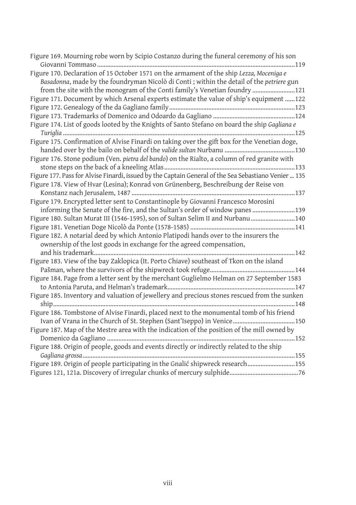| Figure 169. Mourning robe worn by Scipio Costanzo during the funeral ceremony of his son<br>119                                                                                                                                                                     |
|---------------------------------------------------------------------------------------------------------------------------------------------------------------------------------------------------------------------------------------------------------------------|
| Figure 170. Declaration of 15 October 1571 on the armament of the ship Lezza, Moceniga e<br>Basadonna, made by the foundryman Nicolò di Conti ; within the detail of the petriere gun<br>from the site with the monogram of the Conti family's Venetian foundry 121 |
| Figure 171. Document by which Arsenal experts estimate the value of ship's equipment 122                                                                                                                                                                            |
|                                                                                                                                                                                                                                                                     |
|                                                                                                                                                                                                                                                                     |
| Figure 174. List of goods looted by the Knights of Santo Stefano on board the ship Gagliana e                                                                                                                                                                       |
|                                                                                                                                                                                                                                                                     |
| Figure 175. Confirmation of Alvise Finardi on taking over the gift box for the Venetian doge,                                                                                                                                                                       |
| Figure 176. Stone podium (Ven. pietra del bando) on the Rialto, a column of red granite with                                                                                                                                                                        |
|                                                                                                                                                                                                                                                                     |
| Figure 177. Pass for Alvise Finardi, issued by the Captain General of the Sea Sebastiano Venier  135                                                                                                                                                                |
| Figure 178. View of Hvar (Lesina); Konrad von Grünenberg, Beschreibung der Reise von                                                                                                                                                                                |
|                                                                                                                                                                                                                                                                     |
| Figure 179. Encrypted letter sent to Constantinople by Giovanni Francesco Morosini                                                                                                                                                                                  |
| informing the Senate of the fire, and the Sultan's order of window panes 139                                                                                                                                                                                        |
| Figure 180. Sultan Murat III (1546-1595), son of Sultan Selim II and Nurbanu140                                                                                                                                                                                     |
|                                                                                                                                                                                                                                                                     |
| Figure 182. A notarial deed by which Antonio Platipodi hands over to the insurers the                                                                                                                                                                               |
| ownership of the lost goods in exchange for the agreed compensation,                                                                                                                                                                                                |
|                                                                                                                                                                                                                                                                     |
| Figure 183. View of the bay Zaklopica (It. Porto Chiave) southeast of Tkon on the island                                                                                                                                                                            |
|                                                                                                                                                                                                                                                                     |
| Figure 184. Page from a letter sent by the merchant Guglielmo Helman on 27 September 1583                                                                                                                                                                           |
|                                                                                                                                                                                                                                                                     |
| Figure 185. Inventory and valuation of jewellery and precious stones rescued from the sunken                                                                                                                                                                        |
| Figure 186. Tombstone of Alvise Finardi, placed next to the monumental tomb of his friend                                                                                                                                                                           |
| Ivan of Vrana in the Church of St. Stephen (Sant'Iseppo) in Venice150                                                                                                                                                                                               |
| Figure 187. Map of the Mestre area with the indication of the position of the mill owned by                                                                                                                                                                         |
|                                                                                                                                                                                                                                                                     |
| Figure 188. Origin of people, goods and events directly or indirectly related to the ship                                                                                                                                                                           |
| Figure 189. Origin of people participating in the Gnalić shipwreck research155                                                                                                                                                                                      |
|                                                                                                                                                                                                                                                                     |
|                                                                                                                                                                                                                                                                     |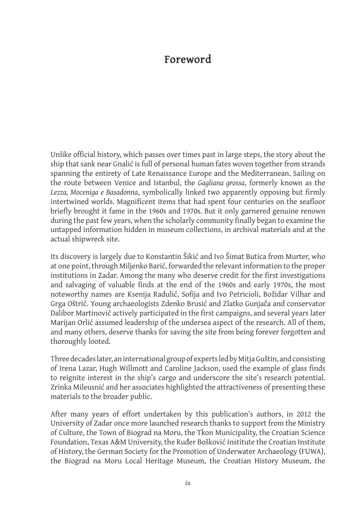## **Foreword**

Unlike official history, which passes over times past in large steps, the story about the ship that sank near Gnalić is full of personal human fates woven together from strands spanning the entirety of Late Renaissance Europe and the Mediterranean. Sailing on the route between Venice and Istanbul, the *Gagliana grossa*, formerly known as the *Lezza, Moceniga e Basadonna*, symbolically linked two apparently opposing but firmly intertwined worlds. Magnificent items that had spent four centuries on the seafloor briefly brought it fame in the 1960s and 1970s. But it only garnered genuine renown during the past few years, when the scholarly community finally began to examine the untapped information hidden in museum collections, in archival materials and at the actual shipwreck site.

Its discovery is largely due to Konstantin Šikić and Ivo Šimat Butica from Murter, who at one point, through Miljenko Barić, forwarded the relevant information to the proper institutions in Zadar. Among the many who deserve credit for the first investigations and salvaging of valuable finds at the end of the 1960s and early 1970s, the most noteworthy names are Ksenija Radulić, Sofija and Ivo Petricioli, Božidar Vilhar and Grga Oštrić. Young archaeologists Zdenko Brusić and Zlatko Gunjača and conservator Dalibor Martinović actively participated in the first campaigns, and several years later Marijan Orlić assumed leadership of the undersea aspect of the research. All of them, and many others, deserve thanks for saving the site from being forever forgotten and thoroughly looted.

Three decades later, an international group of experts led by Mitja Guštin, and consisting of Irena Lazar, Hugh Willmott and Caroline Jackson, used the example of glass finds to reignite interest in the ship's cargo and underscore the site's research potential. Zrinka Mileusnić and her associates highlighted the attractiveness of presenting these materials to the broader public.

After many years of effort undertaken by this publication's authors, in 2012 the University of Zadar once more launched research thanks to support from the Ministry of Culture, the Town of Biograd na Moru, the Tkon Municipality, the Croatian Science Foundation, Texas A&M University, the Ruđer Bošković Institute the Croatian Institute of History, the German Society for the Promotion of Underwater Archaeology (FUWA), the Biograd na Moru Local Heritage Museum, the Croatian History Museum, the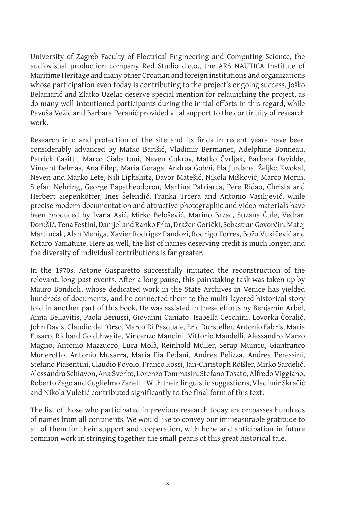University of Zagreb Faculty of Electrical Engineering and Computing Science, the audiovisual production company Red Studio d.o.o., the ARS NAUTICA Institute of Maritime Heritage and many other Croatian and foreign institutions and organizations whose participation even today is contributing to the project's ongoing success. Joško Belamarić and Zlatko Uzelac deserve special mention for relaunching the project, as do many well-intentioned participants during the initial efforts in this regard, while Pavuša Vežić and Barbara Peranić provided vital support to the continuity of research work.

Research into and protection of the site and its finds in recent years have been considerably advanced by Matko Barišić, Vladimir Bermanec, Adelphine Bonneau, Patrick Casitti, Marco Ciabattoni, Neven Cukrov, Matko Čvrljak, Barbara Davidde, Vincent Delmas, Ana Filep, Maria Geraga, Andrea Gobbi, Ela Jurdana, Željko Kwokal, Neven and Marko Lete, Nili Liphshitz, Davor Matešić, Nikola Mišković, Marco Morin, Stefan Nehring, George Papatheodorou, Martina Patriarca, Pere Ridao, Christa and Herbert Siepenkötter, Ines Šelendić, Franka Trcera and Antonio Vasilijević, while precise modern documentation and attractive photographic and video materials have been produced by Ivana Asić, Mirko Belošević, Marino Brzac, Suzana Čule, Vedran Dorušić, Tena Festini, Danijel and Ranko Frka, Dražen Gorički, Sebastian Govorčin, Matej Martinčak, Alan Meniga, Xavier Rodrigez Pandozi, Rodrigo Torres, Božo Vukičević and Kotaro Yamafune. Here as well, the list of names deserving credit is much longer, and the diversity of individual contributions is far greater.

In the 1970s, Astone Gasparetto successfully initiated the reconstruction of the relevant, long-past events. After a long pause, this painstaking task was taken up by Mauro Bondioli, whose dedicated work in the State Archives in Venice has yielded hundreds of documents, and he connected them to the multi-layered historical story told in another part of this book. He was assisted in these efforts by Benjamin Arbel, Anna Bellavitis, Paola Benussi, Giovanni Caniato, Isabella Cecchini, Lovorka Čoralić, John Davis, Claudio dell'Orso, Marco Di Pasquale, Eric Dursteller, Antonio Fabris, Maria Fusaro, Richard Goldthwaite, Vincenzo Mancini, Vittorio Mandelli, Alessandro Marzo Magno, Antonio Mazzucco, Luca Molà, Reinhold Müller, Serap Mumcu, Gianfranco Munerotto, Antonio Musarra, Maria Pia Pedani, Andrea Pelizza, Andrea Peressini, Stefano Piasentini, Claudio Povolo, Franco Rossi, Jan-Christoph Rößler, Mirko Sardelić, Alessandra Schiavon, Ana Šverko, Lorenzo Tommasin, Stefano Tosato, Alfredo Viggiano, Roberto Zago and Guglielmo Zanelli. With their linguistic suggestions, Vladimir Skračić and Nikola Vuletić contributed significantly to the final form of this text.

The list of those who participated in previous research today encompasses hundreds of names from all continents. We would like to convey our immeasurable gratitude to all of them for their support and cooperation, with hope and anticipation in future common work in stringing together the small pearls of this great historical tale.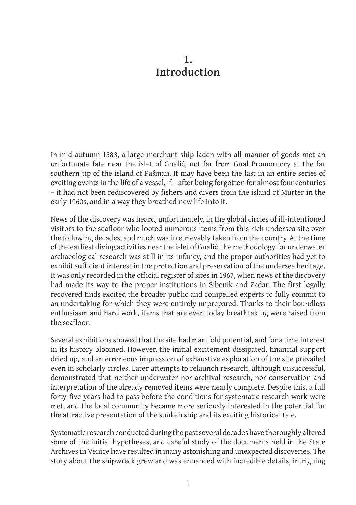### **1. Introduction**

In mid-autumn 1583, a large merchant ship laden with all manner of goods met an unfortunate fate near the islet of Gnalić, not far from Gnal Promontory at the far southern tip of the island of Pašman. It may have been the last in an entire series of exciting events in the life of a vessel, if – after being forgotten for almost four centuries – it had not been rediscovered by fishers and divers from the island of Murter in the early 1960s, and in a way they breathed new life into it.

News of the discovery was heard, unfortunately, in the global circles of ill-intentioned visitors to the seafloor who looted numerous items from this rich undersea site over the following decades, and much was irretrievably taken from the country. At the time of the earliest diving activities near the islet of Gnalić, the methodology for underwater archaeological research was still in its infancy, and the proper authorities had yet to exhibit sufficient interest in the protection and preservation of the undersea heritage. It was only recorded in the official register of sites in 1967, when news of the discovery had made its way to the proper institutions in Šibenik and Zadar. The first legally recovered finds excited the broader public and compelled experts to fully commit to an undertaking for which they were entirely unprepared. Thanks to their boundless enthusiasm and hard work, items that are even today breathtaking were raised from the seafloor.

Several exhibitions showed that the site had manifold potential, and for a time interest in its history bloomed. However, the initial excitement dissipated, financial support dried up, and an erroneous impression of exhaustive exploration of the site prevailed even in scholarly circles. Later attempts to relaunch research, although unsuccessful, demonstrated that neither underwater nor archival research, nor conservation and interpretation of the already removed items were nearly complete. Despite this, a full forty-five years had to pass before the conditions for systematic research work were met, and the local community became more seriously interested in the potential for the attractive presentation of the sunken ship and its exciting historical tale.

Systematic research conducted during the past several decades have thoroughly altered some of the initial hypotheses, and careful study of the documents held in the State Archives in Venice have resulted in many astonishing and unexpected discoveries. The story about the shipwreck grew and was enhanced with incredible details, intriguing